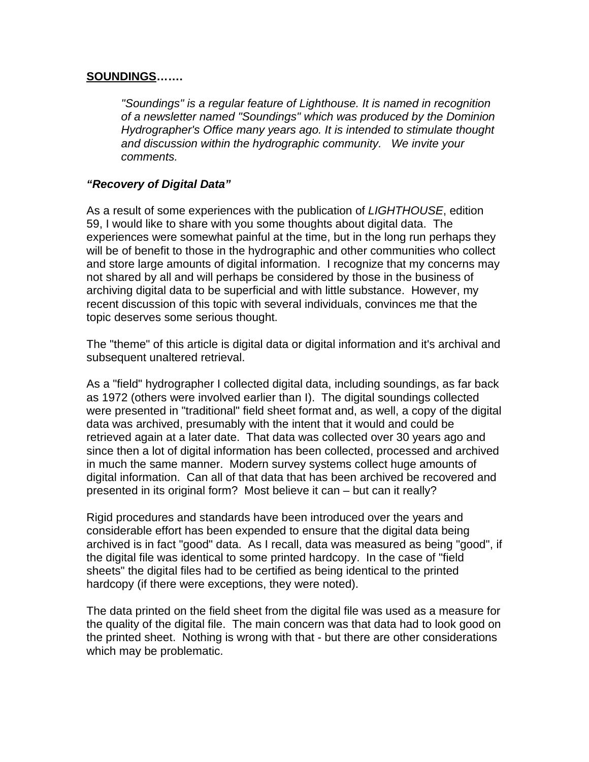## **SOUNDINGS…….**

"Soundings" is a regular feature of Lighthouse. It is named in recognition of a newsletter named "Soundings" which was produced by the Dominion Hydrographer's Office many years ago. It is intended to stimulate thought and discussion within the hydrographic community. We invite your comments.

## **"Recovery of Digital Data"**

As a result of some experiences with the publication of LIGHTHOUSE, edition 59, I would like to share with you some thoughts about digital data. The experiences were somewhat painful at the time, but in the long run perhaps they will be of benefit to those in the hydrographic and other communities who collect and store large amounts of digital information. I recognize that my concerns may not shared by all and will perhaps be considered by those in the business of archiving digital data to be superficial and with little substance. However, my recent discussion of this topic with several individuals, convinces me that the topic deserves some serious thought.

The "theme" of this article is digital data or digital information and it's archival and subsequent unaltered retrieval.

As a "field" hydrographer I collected digital data, including soundings, as far back as 1972 (others were involved earlier than I). The digital soundings collected were presented in "traditional" field sheet format and, as well, a copy of the digital data was archived, presumably with the intent that it would and could be retrieved again at a later date. That data was collected over 30 years ago and since then a lot of digital information has been collected, processed and archived in much the same manner. Modern survey systems collect huge amounts of digital information. Can all of that data that has been archived be recovered and presented in its original form? Most believe it can – but can it really?

Rigid procedures and standards have been introduced over the years and considerable effort has been expended to ensure that the digital data being archived is in fact "good" data. As I recall, data was measured as being "good", if the digital file was identical to some printed hardcopy. In the case of "field sheets" the digital files had to be certified as being identical to the printed hardcopy (if there were exceptions, they were noted).

The data printed on the field sheet from the digital file was used as a measure for the quality of the digital file. The main concern was that data had to look good on the printed sheet. Nothing is wrong with that - but there are other considerations which may be problematic.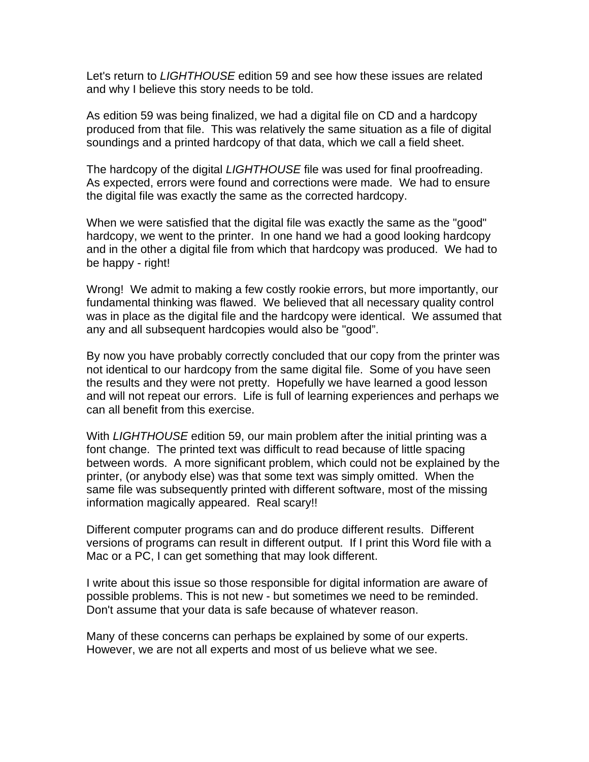Let's return to LIGHTHOUSE edition 59 and see how these issues are related and why I believe this story needs to be told.

As edition 59 was being finalized, we had a digital file on CD and a hardcopy produced from that file. This was relatively the same situation as a file of digital soundings and a printed hardcopy of that data, which we call a field sheet.

The hardcopy of the digital LIGHTHOUSE file was used for final proofreading. As expected, errors were found and corrections were made. We had to ensure the digital file was exactly the same as the corrected hardcopy.

When we were satisfied that the digital file was exactly the same as the "good" hardcopy, we went to the printer. In one hand we had a good looking hardcopy and in the other a digital file from which that hardcopy was produced. We had to be happy - right!

Wrong! We admit to making a few costly rookie errors, but more importantly, our fundamental thinking was flawed. We believed that all necessary quality control was in place as the digital file and the hardcopy were identical. We assumed that any and all subsequent hardcopies would also be "good".

By now you have probably correctly concluded that our copy from the printer was not identical to our hardcopy from the same digital file. Some of you have seen the results and they were not pretty. Hopefully we have learned a good lesson and will not repeat our errors. Life is full of learning experiences and perhaps we can all benefit from this exercise.

With LIGHTHOUSE edition 59, our main problem after the initial printing was a font change. The printed text was difficult to read because of little spacing between words. A more significant problem, which could not be explained by the printer, (or anybody else) was that some text was simply omitted. When the same file was subsequently printed with different software, most of the missing information magically appeared. Real scary!!

Different computer programs can and do produce different results. Different versions of programs can result in different output. If I print this Word file with a Mac or a PC, I can get something that may look different.

I write about this issue so those responsible for digital information are aware of possible problems. This is not new - but sometimes we need to be reminded. Don't assume that your data is safe because of whatever reason.

Many of these concerns can perhaps be explained by some of our experts. However, we are not all experts and most of us believe what we see.